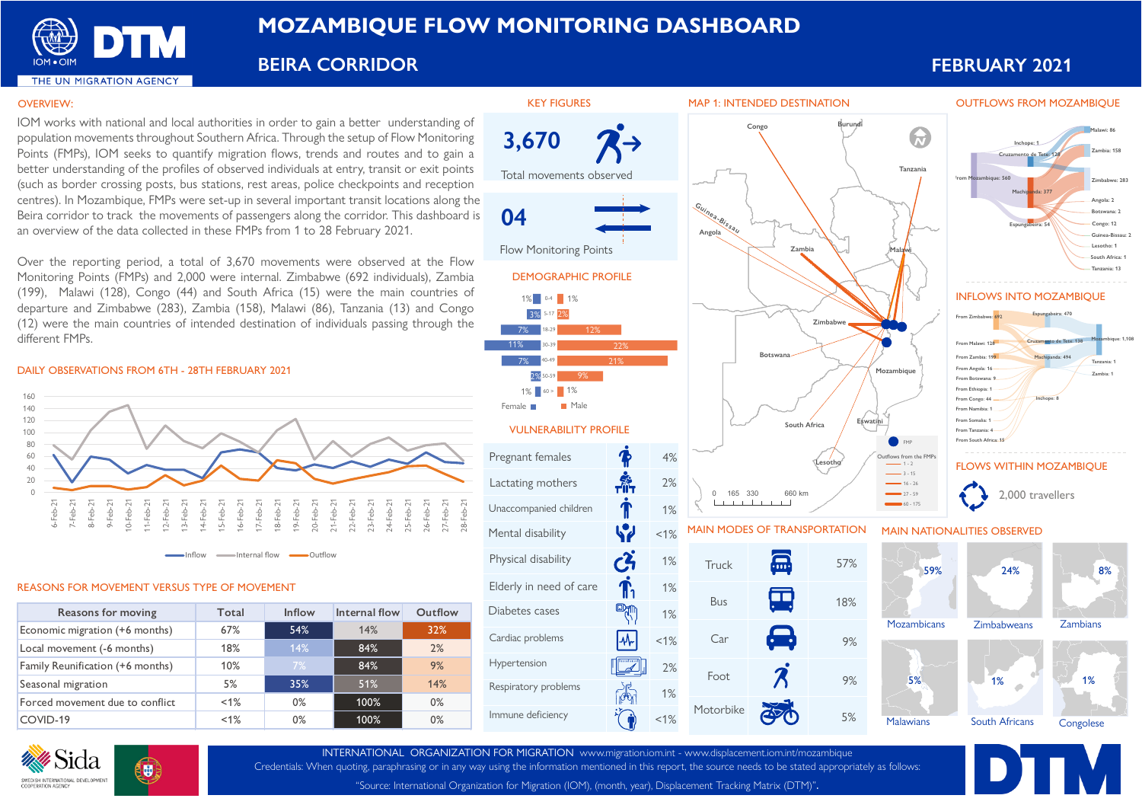

# **MOZAMBIQUE FLOW MONITORING DASHBOARD**

**BEIRA CORRIDOR FEBRUARY 2021**

**Malawi: 86 Zambia: 158**

**Zimbabwe: 283**

**Angola: 2 Botswana: 2 Congo: 12 Guinea-Bissau: 2 Lesotho: 1 South Africa: 1 Tanzania: 13**

**Zambia: 1**

### OVERVIEW:

IOM works with national and local authorities in order to gain a better understanding of population movements throughout Southern Africa. Through the setup of Flow Monitoring Points (FMPs), IOM seeks to quantify migration flows, trends and routes and to gain a better understanding of the profiles of observed individuals at entry, transit or exit points (such as border crossing posts, bus stations, rest areas, police checkpoints and reception centres). In Mozambique, FMPs were set-up in several important transit locations along the Beira corridor to track the movements of passengers along the corridor. This dashboard is an overview of the data collected in these FMPs from 1 to 28 February 2021.

Over the reporting period, a total of 3,670 movements were observed at the Flow Monitoring Points (FMPs) and 2,000 were internal. Zimbabwe (692 individuals), Zambia (199), Malawi (128), Congo (44) and South Africa (15) were the main countries of departure and Zimbabwe (283), Zambia (158), Malawi (86), Tanzania (13) and Congo (12) were the main countries of intended destination of individuals passing through the different FMPs.

### DAILY OBSERVATIONS FROM 6TH - 28TH FEBRUARY 2021



#### REASONS FOR MOVEMENT VERSUS TYPE OF MOVEMENT

**F** 

| Reasons for moving               | Total   | Inflow | Internal flow | Outflow |
|----------------------------------|---------|--------|---------------|---------|
| Economic migration (+6 months)   | 67%     | 54%    | 14%           | 32%     |
| Local movement (-6 months)       | 18%     | 14%    | 84%           | 2%      |
| Family Reunification (+6 months) | 10%     | $7\%$  | 84%           | 9%      |
| Seasonal migration               | 5%      | 35%    | 51%           | 14%     |
| Forced movement due to conflict  | $< 1\%$ | $0\%$  | 100%          | $0\%$   |
| COVID-19                         | $< 1\%$ | 0%     | 100%          | $0\%$   |





INTERNATIONAL ORGANIZATION FOR MIGRATION www.migration.iom.int - www.displacement.iom.int/mozambique Credentials: When quoting, paraphrasing or in any way using the information mentioned in this report, the source needs to be stated appropriately as follows:

"Source: International Organization for Migration (IOM), (month, year), Displacement Tracking Matrix (DTM)".